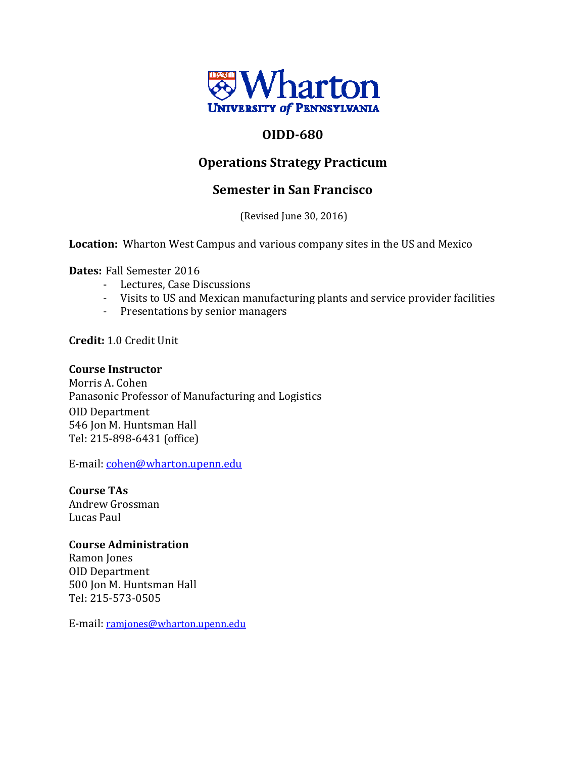

# **OIDD‐680**

# **Operations Strategy Practicum**

# **Semester in San Francisco**

(Revised June 30, 2016)

**Location:** Wharton West Campus and various company sites in the US and Mexico

**Dates:** Fall Semester 2016

- Lectures, Case Discussions
- Visits to US and Mexican manufacturing plants and service provider facilities
- Presentations by senior managers

**Credit: 1.0 Credit Unit** 

#### **Course Instructor**

Morris A. Cohen Panasonic Professor of Manufacturing and Logistics OID Department 546 Jon M. Huntsman Hall Tel: 215‐898‐6431 (office) 

E-mail: cohen@wharton.upenn.edu

**Course TAs** Andrew Grossman Lucas Paul 

### **Course Administration**

Ramon Jones OID Department 500 Jon M. Huntsman Hall Tel: 215‐573‐0505 

E-mail: ramjones@wharton.upenn.edu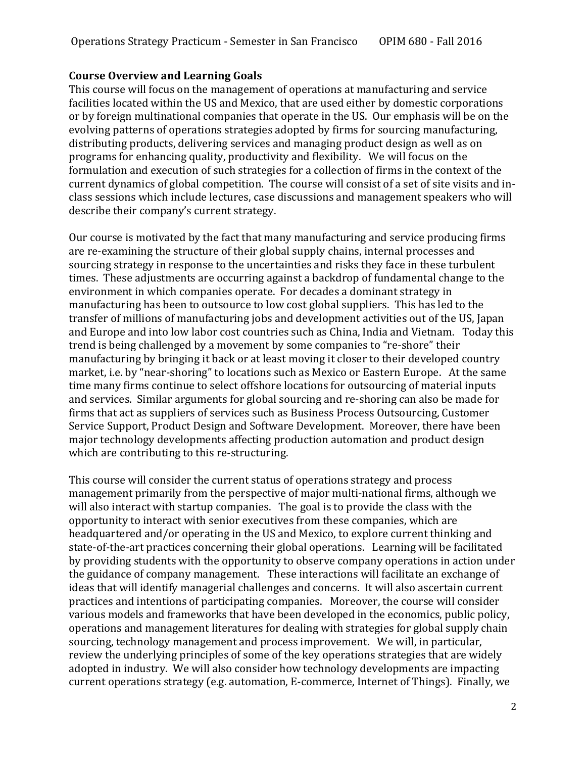#### **Course Overview and Learning Goals**

This course will focus on the management of operations at manufacturing and service facilities located within the US and Mexico, that are used either by domestic corporations or by foreign multinational companies that operate in the US. Our emphasis will be on the evolving patterns of operations strategies adopted by firms for sourcing manufacturing, distributing products, delivering services and managing product design as well as on programs for enhancing quality, productivity and flexibility. We will focus on the formulation and execution of such strategies for a collection of firms in the context of the current dynamics of global competition. The course will consist of a set of site visits and inclass sessions which include lectures, case discussions and management speakers who will describe their company's current strategy.

Our course is motivated by the fact that many manufacturing and service producing firms are re-examining the structure of their global supply chains, internal processes and sourcing strategy in response to the uncertainties and risks they face in these turbulent times. These adjustments are occurring against a backdrop of fundamental change to the environment in which companies operate. For decades a dominant strategy in manufacturing has been to outsource to low cost global suppliers. This has led to the transfer of millions of manufacturing jobs and development activities out of the US, Japan and Europe and into low labor cost countries such as China, India and Vietnam. Today this trend is being challenged by a movement by some companies to "re-shore" their manufacturing by bringing it back or at least moving it closer to their developed country market, i.e. by "near-shoring" to locations such as Mexico or Eastern Europe. At the same time many firms continue to select offshore locations for outsourcing of material inputs and services. Similar arguments for global sourcing and re-shoring can also be made for firms that act as suppliers of services such as Business Process Outsourcing, Customer Service Support, Product Design and Software Development. Moreover, there have been major technology developments affecting production automation and product design which are contributing to this re-structuring.

This course will consider the current status of operations strategy and process management primarily from the perspective of major multi-national firms, although we will also interact with startup companies. The goal is to provide the class with the opportunity to interact with senior executives from these companies, which are headquartered and/or operating in the US and Mexico, to explore current thinking and state-of-the-art practices concerning their global operations. Learning will be facilitated by providing students with the opportunity to observe company operations in action under the guidance of company management. These interactions will facilitate an exchange of ideas that will identify managerial challenges and concerns. It will also ascertain current practices and intentions of participating companies. Moreover, the course will consider various models and frameworks that have been developed in the economics, public policy, operations and management literatures for dealing with strategies for global supply chain sourcing, technology management and process improvement. We will, in particular, review the underlying principles of some of the key operations strategies that are widely adopted in industry. We will also consider how technology developments are impacting current operations strategy (e.g. automation, E-commerce, Internet of Things). Finally, we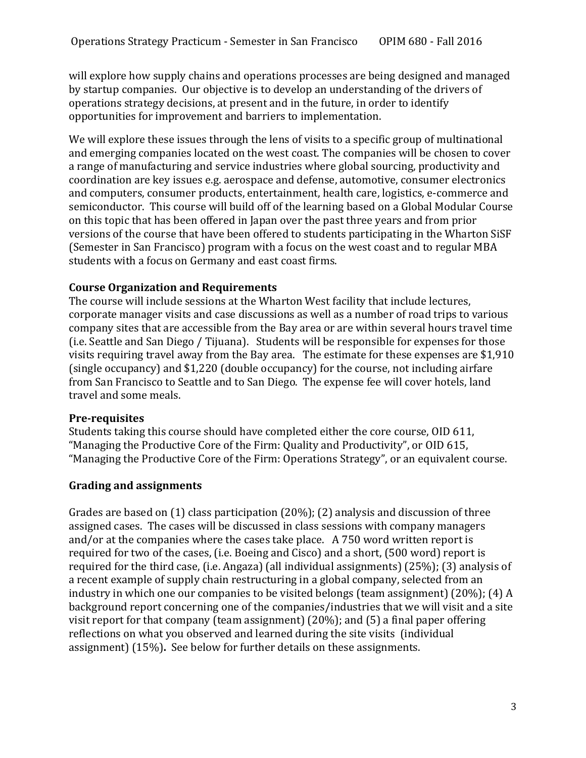will explore how supply chains and operations processes are being designed and managed by startup companies. Our objective is to develop an understanding of the drivers of operations strategy decisions, at present and in the future, in order to identify opportunities for improvement and barriers to implementation.

We will explore these issues through the lens of visits to a specific group of multinational and emerging companies located on the west coast. The companies will be chosen to cover a range of manufacturing and service industries where global sourcing, productivity and coordination are key issues e.g. aerospace and defense, automotive, consumer electronics and computers, consumer products, entertainment, health care, logistics, e-commerce and semiconductor. This course will build off of the learning based on a Global Modular Course on this topic that has been offered in Japan over the past three years and from prior versions of the course that have been offered to students participating in the Wharton SiSF (Semester in San Francisco) program with a focus on the west coast and to regular MBA students with a focus on Germany and east coast firms.

### **Course Organization and Requirements**

The course will include sessions at the Wharton West facility that include lectures, corporate manager visits and case discussions as well as a number of road trips to various company sites that are accessible from the Bay area or are within several hours travel time (i.e. Seattle and San Diego / Tijuana). Students will be responsible for expenses for those visits requiring travel away from the Bay area. The estimate for these expenses are \$1,910 (single  $occupancy$ ) and  $$1,220$  (double  $occupancy$ ) for the course, not including airfare from San Francisco to Seattle and to San Diego. The expense fee will cover hotels, land travel and some meals.

#### **Pre‐requisites**

Students taking this course should have completed either the core course, OID 611, "Managing the Productive Core of the Firm: Quality and Productivity", or OID 615, "Managing the Productive Core of the Firm: Operations Strategy", or an equivalent course.

### **Grading and assignments**

Grades are based on  $(1)$  class participation  $(20\%)$ ;  $(2)$  analysis and discussion of three assigned cases. The cases will be discussed in class sessions with company managers and/or at the companies where the cases take place.  $\Delta$  750 word written report is required for two of the cases, (i.e. Boeing and Cisco) and a short, (500 word) report is required for the third case, (i.e. Angaza) (all individual assignments)  $(25\%)$ ; (3) analysis of a recent example of supply chain restructuring in a global company, selected from an industry in which one our companies to be visited belongs (team assignment)  $(20\%)$ ; (4) A background report concerning one of the companies/industries that we will visit and a site visit report for that company (team assignment)  $(20\%)$ ; and  $(5)$  a final paper offering reflections on what you observed and learned during the site visits (individual assignment) (15%). See below for further details on these assignments.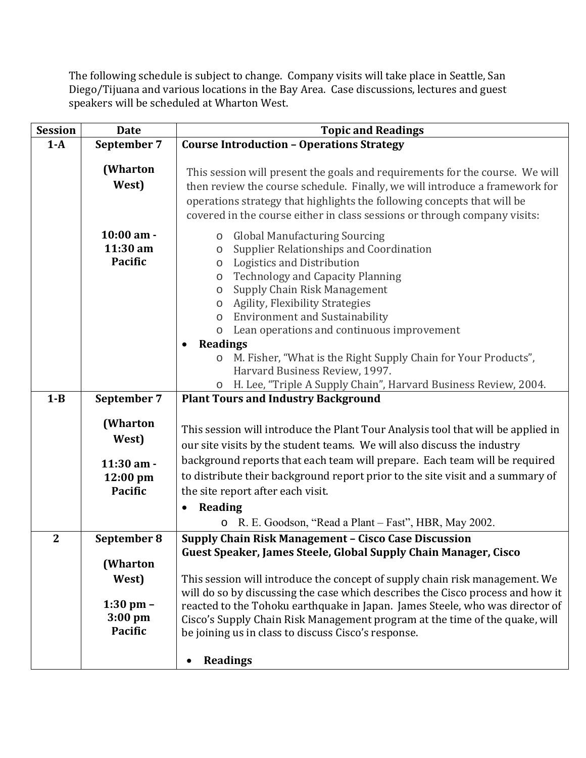The following schedule is subject to change. Company visits will take place in Seattle, San Diego/Tijuana and various locations in the Bay Area. Case discussions, lectures and guest speakers will be scheduled at Wharton West.

| <b>Session</b> | <b>Date</b>                                  | <b>Topic and Readings</b>                                                                                                                                                                                                                                                                                                                                                                                                                         |  |  |  |
|----------------|----------------------------------------------|---------------------------------------------------------------------------------------------------------------------------------------------------------------------------------------------------------------------------------------------------------------------------------------------------------------------------------------------------------------------------------------------------------------------------------------------------|--|--|--|
| $1-A$          | September 7                                  | <b>Course Introduction - Operations Strategy</b>                                                                                                                                                                                                                                                                                                                                                                                                  |  |  |  |
|                | (Wharton<br>West)                            | This session will present the goals and requirements for the course. We will<br>then review the course schedule. Finally, we will introduce a framework for<br>operations strategy that highlights the following concepts that will be<br>covered in the course either in class sessions or through company visits:                                                                                                                               |  |  |  |
|                | 10:00 am -<br>11:30 am<br><b>Pacific</b>     | <b>Global Manufacturing Sourcing</b><br>$\circ$<br>Supplier Relationships and Coordination<br>$\circ$<br>Logistics and Distribution<br>$\circ$<br><b>Technology and Capacity Planning</b><br>$\circ$<br>Supply Chain Risk Management<br>$\circ$<br><b>Agility, Flexibility Strategies</b><br>$\circ$<br><b>Environment and Sustainability</b><br>$\circ$<br>Lean operations and continuous improvement<br>$\circ$<br><b>Readings</b><br>$\bullet$ |  |  |  |
|                |                                              | M. Fisher, "What is the Right Supply Chain for Your Products",<br>$\circ$<br>Harvard Business Review, 1997.                                                                                                                                                                                                                                                                                                                                       |  |  |  |
|                |                                              | H. Lee, "Triple A Supply Chain", Harvard Business Review, 2004.<br>O                                                                                                                                                                                                                                                                                                                                                                              |  |  |  |
| $1 - B$        | September 7                                  | <b>Plant Tours and Industry Background</b>                                                                                                                                                                                                                                                                                                                                                                                                        |  |  |  |
|                | (Wharton<br>West)                            | This session will introduce the Plant Tour Analysis tool that will be applied in<br>our site visits by the student teams. We will also discuss the industry                                                                                                                                                                                                                                                                                       |  |  |  |
|                | 11:30 am -<br>12:00 pm<br><b>Pacific</b>     | background reports that each team will prepare. Each team will be required<br>to distribute their background report prior to the site visit and a summary of<br>the site report after each visit.<br><b>Reading</b><br>$\bullet$                                                                                                                                                                                                                  |  |  |  |
|                |                                              | R. E. Goodson, "Read a Plant – Fast", HBR, May 2002.<br>$\circ$                                                                                                                                                                                                                                                                                                                                                                                   |  |  |  |
| $\overline{2}$ | September 8<br>(Wharton<br>West)             | Supply Chain Risk Management - Cisco Case Discussion<br>Guest Speaker, James Steele, Global Supply Chain Manager, Cisco<br>This session will introduce the concept of supply chain risk management. We                                                                                                                                                                                                                                            |  |  |  |
|                | $1:30$ pm $-$<br>$3:00$ pm<br><b>Pacific</b> | will do so by discussing the case which describes the Cisco process and how it<br>reacted to the Tohoku earthquake in Japan. James Steele, who was director of<br>Cisco's Supply Chain Risk Management program at the time of the quake, will<br>be joining us in class to discuss Cisco's response.                                                                                                                                              |  |  |  |
|                |                                              | <b>Readings</b>                                                                                                                                                                                                                                                                                                                                                                                                                                   |  |  |  |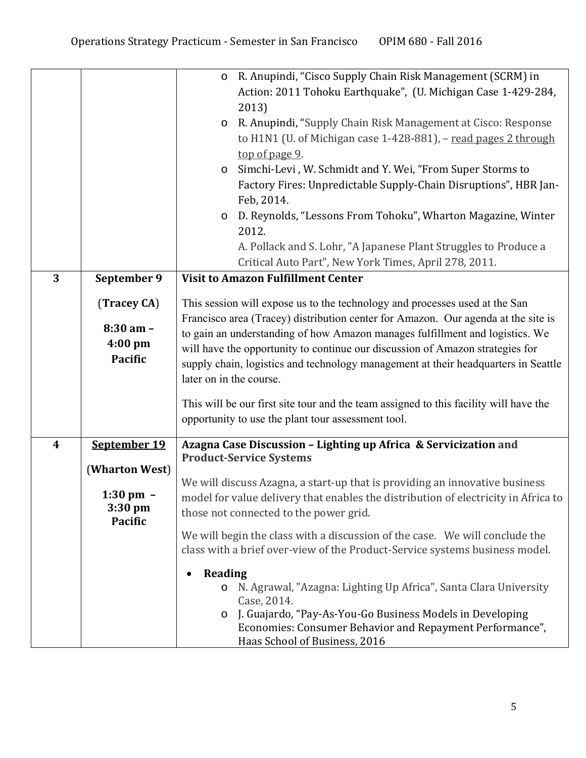|   |                                                                                     | o R. Anupindi, "Cisco Supply Chain Risk Management (SCRM) in<br>Action: 2011 Tohoku Earthquake", (U. Michigan Case 1-429-284,<br>2013)<br>R. Anupindi, "Supply Chain Risk Management at Cisco: Response<br>$\circ$<br>to H1N1 (U. of Michigan case 1-428-881), - read pages 2 through<br>top of page 9.<br>Simchi-Levi, W. Schmidt and Y. Wei, "From Super Storms to<br>$\circ$<br>Factory Fires: Unpredictable Supply-Chain Disruptions", HBR Jan-<br>Feb, 2014.<br>D. Reynolds, "Lessons From Tohoku", Wharton Magazine, Winter<br>$\circ$<br>2012.<br>A. Pollack and S. Lohr, "A Japanese Plant Struggles to Produce a<br>Critical Auto Part", New York Times, April 278, 2011. |
|---|-------------------------------------------------------------------------------------|------------------------------------------------------------------------------------------------------------------------------------------------------------------------------------------------------------------------------------------------------------------------------------------------------------------------------------------------------------------------------------------------------------------------------------------------------------------------------------------------------------------------------------------------------------------------------------------------------------------------------------------------------------------------------------|
| 3 | September 9                                                                         | <b>Visit to Amazon Fulfillment Center</b>                                                                                                                                                                                                                                                                                                                                                                                                                                                                                                                                                                                                                                          |
|   | (Tracey CA)<br>$8:30$ am -<br>4:00 pm<br><b>Pacific</b>                             | This session will expose us to the technology and processes used at the San<br>Francisco area (Tracey) distribution center for Amazon. Our agenda at the site is<br>to gain an understanding of how Amazon manages fulfillment and logistics. We<br>will have the opportunity to continue our discussion of Amazon strategies for<br>supply chain, logistics and technology management at their headquarters in Seattle<br>later on in the course.                                                                                                                                                                                                                                 |
|   |                                                                                     | This will be our first site tour and the team assigned to this facility will have the<br>opportunity to use the plant tour assessment tool.                                                                                                                                                                                                                                                                                                                                                                                                                                                                                                                                        |
| 4 | September 19<br>(Wharton West)<br>$1:30 \text{ pm } -$<br>3:30 pm<br><b>Pacific</b> | Azagna Case Discussion - Lighting up Africa & Servicization and<br><b>Product-Service Systems</b><br>We will discuss Azagna, a start-up that is providing an innovative business<br>model for value delivery that enables the distribution of electricity in Africa to<br>those not connected to the power grid.<br>We will begin the class with a discussion of the case. We will conclude the<br>class with a brief over-view of the Product-Service systems business model.                                                                                                                                                                                                     |
|   |                                                                                     | <b>Reading</b><br>N. Agrawal, "Azagna: Lighting Up Africa", Santa Clara University<br>$\circ$<br>Case, 2014.<br>J. Guajardo, "Pay-As-You-Go Business Models in Developing<br>$\circ$<br>Economies: Consumer Behavior and Repayment Performance",<br>Haas School of Business, 2016                                                                                                                                                                                                                                                                                                                                                                                                  |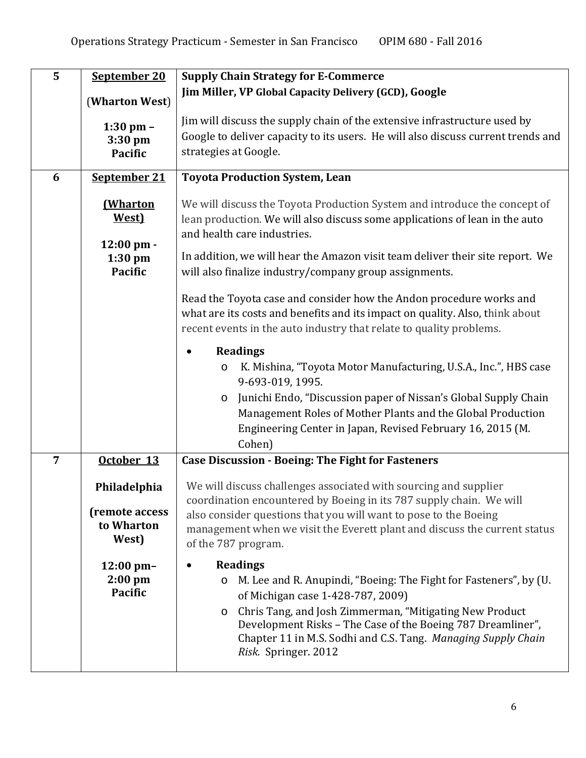| 5              | September 20                                          | <b>Supply Chain Strategy for E-Commerce</b>                                                                                                                                                                                                                                                                                                                  |  |  |  |
|----------------|-------------------------------------------------------|--------------------------------------------------------------------------------------------------------------------------------------------------------------------------------------------------------------------------------------------------------------------------------------------------------------------------------------------------------------|--|--|--|
|                | (Wharton West)                                        | Jim Miller, VP Global Capacity Delivery (GCD), Google                                                                                                                                                                                                                                                                                                        |  |  |  |
|                | $1:30$ pm $-$<br>3:30 pm<br><b>Pacific</b>            | Jim will discuss the supply chain of the extensive infrastructure used by<br>Google to deliver capacity to its users. He will also discuss current trends and<br>strategies at Google.                                                                                                                                                                       |  |  |  |
| 6              | September 21                                          | <b>Toyota Production System, Lean</b>                                                                                                                                                                                                                                                                                                                        |  |  |  |
|                | (Wharton<br>West)<br>12:00 pm -                       | We will discuss the Toyota Production System and introduce the concept of<br>lean production. We will also discuss some applications of lean in the auto<br>and health care industries.                                                                                                                                                                      |  |  |  |
|                | $1:30$ pm<br><b>Pacific</b>                           | In addition, we will hear the Amazon visit team deliver their site report. We<br>will also finalize industry/company group assignments.                                                                                                                                                                                                                      |  |  |  |
|                |                                                       | Read the Toyota case and consider how the Andon procedure works and<br>what are its costs and benefits and its impact on quality. Also, think about<br>recent events in the auto industry that relate to quality problems.                                                                                                                                   |  |  |  |
|                |                                                       | <b>Readings</b><br>K. Mishina, "Toyota Motor Manufacturing, U.S.A., Inc.", HBS case<br>O<br>9-693-019, 1995.<br>Junichi Endo, "Discussion paper of Nissan's Global Supply Chain<br>$\circ$<br>Management Roles of Mother Plants and the Global Production<br>Engineering Center in Japan, Revised February 16, 2015 (M.<br>Cohen)                            |  |  |  |
| $\overline{7}$ | October 13                                            | <b>Case Discussion - Boeing: The Fight for Fasteners</b>                                                                                                                                                                                                                                                                                                     |  |  |  |
|                | Philadelphia<br>(remote access<br>to Wharton<br>West) | We will discuss challenges associated with sourcing and supplier<br>coordination encountered by Boeing in its 787 supply chain. We will<br>also consider questions that you will want to pose to the Boeing<br>management when we visit the Everett plant and discuss the current status<br>of the 787 program.                                              |  |  |  |
|                | $12:00 \text{ pm}$ -<br>$2:00$ pm<br><b>Pacific</b>   | <b>Readings</b><br>M. Lee and R. Anupindi, "Boeing: The Fight for Fasteners", by (U.<br>O<br>of Michigan case 1-428-787, 2009)<br>Chris Tang, and Josh Zimmerman, "Mitigating New Product<br>$\circ$<br>Development Risks - The Case of the Boeing 787 Dreamliner",<br>Chapter 11 in M.S. Sodhi and C.S. Tang. Managing Supply Chain<br>Risk. Springer. 2012 |  |  |  |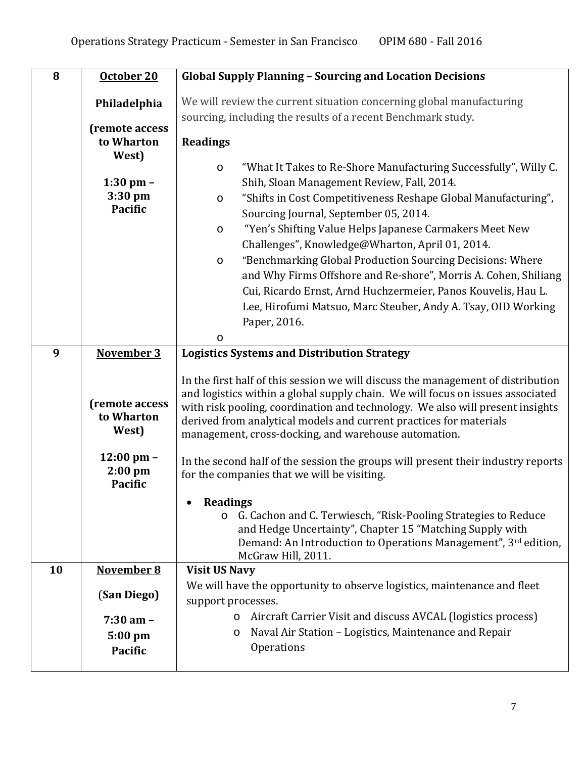| 8  | October 20                                            | <b>Global Supply Planning - Sourcing and Location Decisions</b>                                                                                                                                                                                                                                                                                                                                                                                                                                                                                                                                                                                                            |  |  |  |
|----|-------------------------------------------------------|----------------------------------------------------------------------------------------------------------------------------------------------------------------------------------------------------------------------------------------------------------------------------------------------------------------------------------------------------------------------------------------------------------------------------------------------------------------------------------------------------------------------------------------------------------------------------------------------------------------------------------------------------------------------------|--|--|--|
|    | Philadelphia<br>(remote access<br>to Wharton          | We will review the current situation concerning global manufacturing<br>sourcing, including the results of a recent Benchmark study.<br><b>Readings</b>                                                                                                                                                                                                                                                                                                                                                                                                                                                                                                                    |  |  |  |
|    | West)<br>$1:30$ pm $-$<br>$3:30$ pm<br><b>Pacific</b> | "What It Takes to Re-Shore Manufacturing Successfully", Willy C.<br>$\circ$<br>Shih, Sloan Management Review, Fall, 2014.<br>"Shifts in Cost Competitiveness Reshape Global Manufacturing",<br>$\circ$<br>Sourcing Journal, September 05, 2014.<br>"Yen's Shifting Value Helps Japanese Carmakers Meet New<br>$\circ$<br>Challenges", Knowledge@Wharton, April 01, 2014.<br>"Benchmarking Global Production Sourcing Decisions: Where<br>$\circ$<br>and Why Firms Offshore and Re-shore", Morris A. Cohen, Shiliang<br>Cui, Ricardo Ernst, Arnd Huchzermeier, Panos Kouvelis, Hau L.<br>Lee, Hirofumi Matsuo, Marc Steuber, Andy A. Tsay, OID Working<br>Paper, 2016.<br>O |  |  |  |
| 9  | November 3                                            | <b>Logistics Systems and Distribution Strategy</b>                                                                                                                                                                                                                                                                                                                                                                                                                                                                                                                                                                                                                         |  |  |  |
|    | (remote access<br>to Wharton<br>West)                 | In the first half of this session we will discuss the management of distribution<br>and logistics within a global supply chain. We will focus on issues associated<br>with risk pooling, coordination and technology. We also will present insights<br>derived from analytical models and current practices for materials<br>management, cross-docking, and warehouse automation.                                                                                                                                                                                                                                                                                          |  |  |  |
|    | $12:00$ pm $-$<br>$2:00$ pm<br><b>Pacific</b>         | In the second half of the session the groups will present their industry reports<br>for the companies that we will be visiting.                                                                                                                                                                                                                                                                                                                                                                                                                                                                                                                                            |  |  |  |
|    |                                                       | <b>Readings</b><br>G. Cachon and C. Terwiesch, "Risk-Pooling Strategies to Reduce<br>$\circ$<br>and Hedge Uncertainty", Chapter 15 "Matching Supply with<br>Demand: An Introduction to Operations Management", 3rd edition,<br>McGraw Hill, 2011.                                                                                                                                                                                                                                                                                                                                                                                                                          |  |  |  |
| 10 | November 8                                            | <b>Visit US Navy</b>                                                                                                                                                                                                                                                                                                                                                                                                                                                                                                                                                                                                                                                       |  |  |  |
|    | (San Diego)                                           | We will have the opportunity to observe logistics, maintenance and fleet<br>support processes.                                                                                                                                                                                                                                                                                                                                                                                                                                                                                                                                                                             |  |  |  |
|    | $7:30$ am $-$<br>5:00 pm<br>Pacific                   | Aircraft Carrier Visit and discuss AVCAL (logistics process)<br>O<br>Naval Air Station - Logistics, Maintenance and Repair<br>$\circ$<br>Operations                                                                                                                                                                                                                                                                                                                                                                                                                                                                                                                        |  |  |  |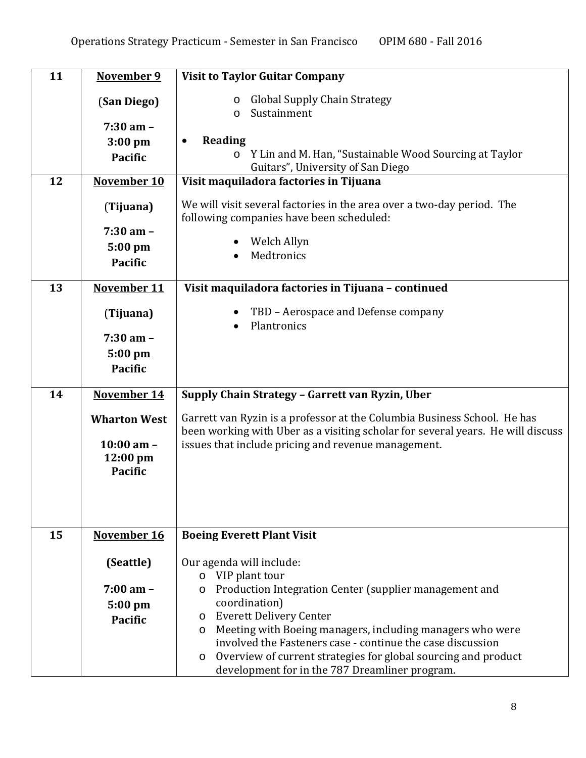| 11 | November 9                  | <b>Visit to Taylor Guitar Company</b>                                                                                                                       |  |  |
|----|-----------------------------|-------------------------------------------------------------------------------------------------------------------------------------------------------------|--|--|
|    | (San Diego)                 | <b>Global Supply Chain Strategy</b><br>$\circ$                                                                                                              |  |  |
|    |                             | Sustainment<br>$\circ$                                                                                                                                      |  |  |
|    | $7:30$ am -                 | Reading<br>$\bullet$                                                                                                                                        |  |  |
|    | $3:00$ pm<br><b>Pacific</b> | Y Lin and M. Han, "Sustainable Wood Sourcing at Taylor<br>$\circ$                                                                                           |  |  |
|    |                             | Guitars", University of San Diego                                                                                                                           |  |  |
| 12 | November 10                 | Visit maquiladora factories in Tijuana                                                                                                                      |  |  |
|    | (Tijuana)                   | We will visit several factories in the area over a two-day period. The                                                                                      |  |  |
|    |                             | following companies have been scheduled:                                                                                                                    |  |  |
|    | $7:30$ am $-$               |                                                                                                                                                             |  |  |
|    | 5:00 pm                     | Welch Allyn<br>Medtronics                                                                                                                                   |  |  |
|    | <b>Pacific</b>              |                                                                                                                                                             |  |  |
| 13 | November 11                 | Visit maquiladora factories in Tijuana - continued                                                                                                          |  |  |
|    | (Tijuana)                   | TBD - Aerospace and Defense company                                                                                                                         |  |  |
|    |                             | Plantronics                                                                                                                                                 |  |  |
|    | $7:30$ am $-$               |                                                                                                                                                             |  |  |
|    | $5:00$ pm                   |                                                                                                                                                             |  |  |
|    | <b>Pacific</b>              |                                                                                                                                                             |  |  |
| 14 | November 14                 | Supply Chain Strategy - Garrett van Ryzin, Uber                                                                                                             |  |  |
|    |                             |                                                                                                                                                             |  |  |
|    | <b>Wharton West</b>         | Garrett van Ryzin is a professor at the Columbia Business School. He has<br>been working with Uber as a visiting scholar for several years. He will discuss |  |  |
|    | $10:00$ am $-$              | issues that include pricing and revenue management.                                                                                                         |  |  |
|    | $12:00 \text{ pm}$          |                                                                                                                                                             |  |  |
|    | <b>Pacific</b>              |                                                                                                                                                             |  |  |
|    |                             |                                                                                                                                                             |  |  |
|    |                             |                                                                                                                                                             |  |  |
| 15 | November 16                 | <b>Boeing Everett Plant Visit</b>                                                                                                                           |  |  |
|    |                             |                                                                                                                                                             |  |  |
|    | (Seattle)                   | Our agenda will include:                                                                                                                                    |  |  |
|    |                             | o VIP plant tour                                                                                                                                            |  |  |
|    | $7:00 \text{ am } -$        | Production Integration Center (supplier management and<br>$\circ$<br>coordination)                                                                          |  |  |
|    | $5:00$ pm                   | <b>Everett Delivery Center</b><br>$\circ$                                                                                                                   |  |  |
|    | <b>Pacific</b>              | Meeting with Boeing managers, including managers who were<br>$\circ$                                                                                        |  |  |
|    |                             | involved the Fasteners case - continue the case discussion                                                                                                  |  |  |
|    |                             | Overview of current strategies for global sourcing and product<br>$\circ$                                                                                   |  |  |
|    |                             | development for in the 787 Dreamliner program.                                                                                                              |  |  |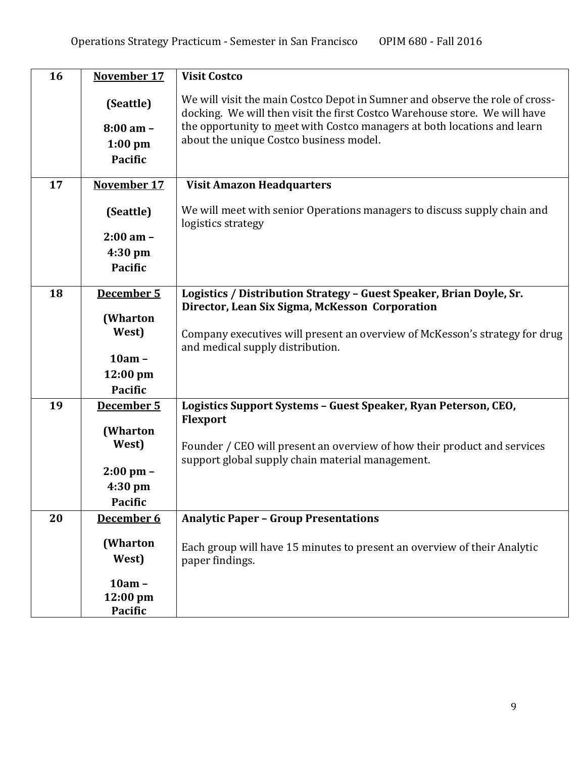| 16 | November 17                                                           | <b>Visit Costco</b>                                                                                                                                                                                                                                                               |
|----|-----------------------------------------------------------------------|-----------------------------------------------------------------------------------------------------------------------------------------------------------------------------------------------------------------------------------------------------------------------------------|
|    | (Seattle)<br>$8:00$ am -<br>$1:00$ pm<br><b>Pacific</b>               | We will visit the main Costco Depot in Sumner and observe the role of cross-<br>docking. We will then visit the first Costco Warehouse store. We will have<br>the opportunity to meet with Costco managers at both locations and learn<br>about the unique Costco business model. |
| 17 | <b>November 17</b>                                                    | <b>Visit Amazon Headquarters</b>                                                                                                                                                                                                                                                  |
|    | (Seattle)<br>$2:00$ am $-$<br>4:30 pm<br>Pacific                      | We will meet with senior Operations managers to discuss supply chain and<br>logistics strategy                                                                                                                                                                                    |
| 18 | December 5                                                            | Logistics / Distribution Strategy - Guest Speaker, Brian Doyle, Sr.                                                                                                                                                                                                               |
|    | (Wharton<br>West)<br>$10am -$<br>12:00 pm<br><b>Pacific</b>           | Director, Lean Six Sigma, McKesson Corporation<br>Company executives will present an overview of McKesson's strategy for drug<br>and medical supply distribution.                                                                                                                 |
| 19 | December 5                                                            | Logistics Support Systems - Guest Speaker, Ryan Peterson, CEO,                                                                                                                                                                                                                    |
|    | (Wharton<br>West)<br>$2:00 \text{ pm} -$<br>4:30 pm<br><b>Pacific</b> | <b>Flexport</b><br>Founder / CEO will present an overview of how their product and services<br>support global supply chain material management.                                                                                                                                   |
| 20 | December 6                                                            | <b>Analytic Paper - Group Presentations</b>                                                                                                                                                                                                                                       |
|    | (Wharton<br>West)<br>$10am -$                                         | Each group will have 15 minutes to present an overview of their Analytic<br>paper findings.                                                                                                                                                                                       |
|    | 12:00 pm<br>Pacific                                                   |                                                                                                                                                                                                                                                                                   |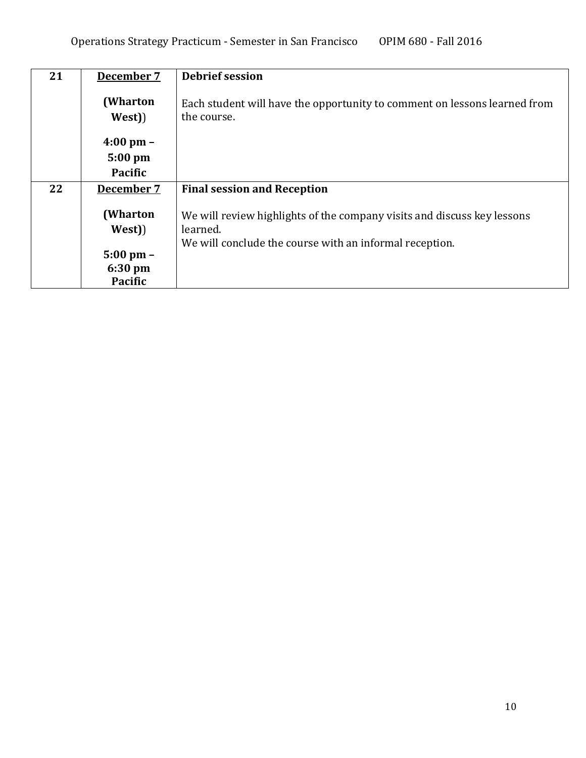| 21 | December 7          | <b>Debrief session</b>                                                                                                                         |  |  |
|----|---------------------|------------------------------------------------------------------------------------------------------------------------------------------------|--|--|
|    | (Wharton<br>West)   | Each student will have the opportunity to comment on lessons learned from<br>the course.                                                       |  |  |
|    | $4:00 \text{ pm} -$ |                                                                                                                                                |  |  |
|    | $5:00$ pm           |                                                                                                                                                |  |  |
|    | Pacific             |                                                                                                                                                |  |  |
| 22 | December 7          | <b>Final session and Reception</b>                                                                                                             |  |  |
|    | (Wharton<br>West)   | We will review highlights of the company visits and discuss key lessons<br>learned.<br>We will conclude the course with an informal reception. |  |  |
|    | $5:00 \text{ pm} -$ |                                                                                                                                                |  |  |
|    | $6:30 \text{ pm}$   |                                                                                                                                                |  |  |
|    | <b>Pacific</b>      |                                                                                                                                                |  |  |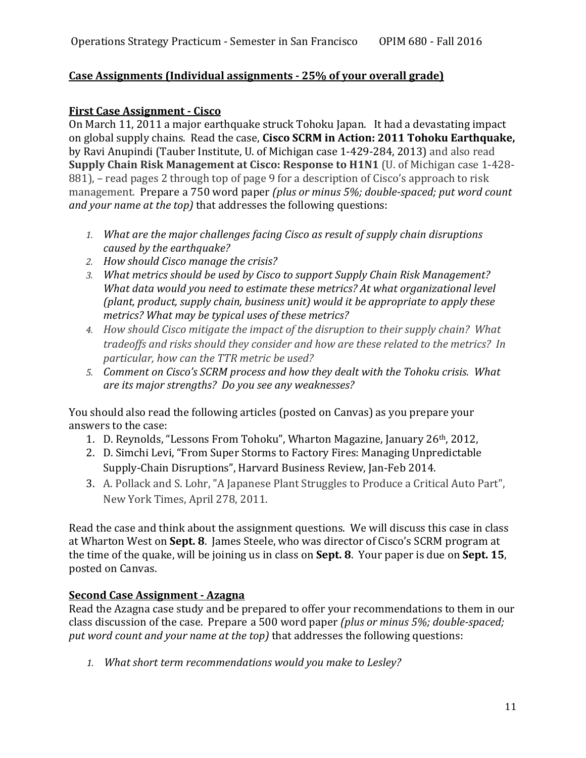### **Case Assignments (Individual assignments ‐ 25% of your overall grade)**

#### **First Case Assignment ‐ Cisco**

On March 11, 2011 a major earthquake struck Tohoku Japan. It had a devastating impact on global supply chains. Read the case, **Cisco SCRM in Action: 2011 Tohoku Earthquake,** by Ravi Anupindi (Tauber Institute, U. of Michigan case 1-429-284, 2013) and also read **Supply Chain Risk Management at Cisco: Response to H1N1** (U. of Michigan case 1‐428‐ 881), – read pages 2 through top of page 9 for a description of Cisco's approach to risk management. Prepare a 750 word paper *(plus or minus 5%; double‐spaced; put word count and* your *name* at the *top*) that addresses the following questions:

- *1. What are the major challenges facing Cisco as result of supply chain disruptions caused by the earthquake?*
- *2. How should Cisco manage the crisis?*
- *3. What metrics should be used by Cisco to support Supply Chain Risk Management? What data would you need to estimate these metrics? At what organizational level (plant, product, supply chain, business unit) would it be appropriate to apply these metrics? What may be typical uses of these metrics?*
- *4. How should Cisco mitigate the impact of the disruption to their supply chain? What tradeoffs and risks should they consider and how are these related to the metrics? In particular, how can the TTR metric be used?*
- *5. Comment on Cisco's SCRM process and how they dealt with the Tohoku crisis. What are its major strengths? Do you see any weaknesses?*

You should also read the following articles (posted on Canvas) as you prepare your answers to the case:

- 1. D. Reynolds, "Lessons From Tohoku", Wharton Magazine, January 26<sup>th</sup>, 2012,
- 2. D. Simchi Levi, "From Super Storms to Factory Fires: Managing Unpredictable Supply-Chain Disruptions", Harvard Business Review, Jan-Feb 2014.
- 3. A. Pollack and S. Lohr, "A Japanese Plant Struggles to Produce a Critical Auto Part", New York Times, April 278, 2011.

Read the case and think about the assignment questions. We will discuss this case in class at Wharton West on **Sept. 8**. James Steele, who was director of Cisco's SCRM program at the time of the quake, will be joining us in class on **Sept. 8**. Your paper is due on **Sept. 15**, posted on Canvas.

### **Second Case Assignment ‐ Azagna**

Read the Azagna case study and be prepared to offer your recommendations to them in our class discussion of the case. Prepare a 500 word paper *(plus or minus 5%; double‐spaced; put word count and your name at the top)* that addresses the following questions: 

*1. What short term recommendations would you make to Lesley?*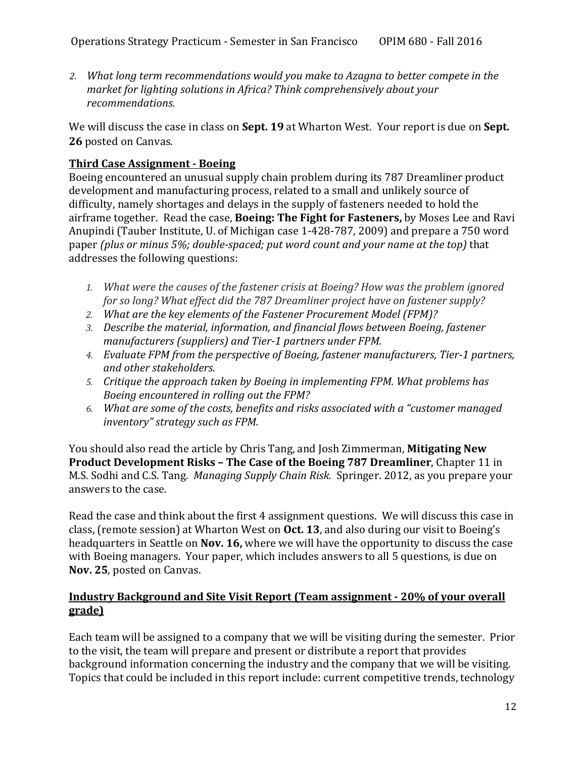*2. What long term recommendations would you make to Azagna to better compete in the market for lighting solutions in Africa? Think comprehensively about your recommendations.*

We will discuss the case in class on **Sept. 19** at Wharton West. Your report is due on **Sept.** 26 posted on Canvas.

## **Third Case Assignment ‐ Boeing**

Boeing encountered an unusual supply chain problem during its 787 Dreamliner product development and manufacturing process, related to a small and unlikely source of difficulty, namely shortages and delays in the supply of fasteners needed to hold the airframe together. Read the case, **Boeing: The Fight for Fasteners**, by Moses Lee and Ravi Anupindi (Tauber Institute, U. of Michigan case 1-428-787, 2009) and prepare a 750 word paper *(plus or minus 5%; double‐spaced; put word count and your name at the top)* that addresses the following questions:

- *1. What were the causes of the fastener crisis at Boeing? How was the problem ignored for so long? What effect did the 787 Dreamliner project have on fastener supply?*
- *2. What are the key elements of the Fastener Procurement Model (FPM)?*
- *3. Describe the material, information, and financial flows between Boeing, fastener manufacturers (suppliers) and Tier‐1 partners under FPM.*
- *4. Evaluate FPM from the perspective of Boeing, fastener manufacturers, Tier‐1 partners, and other stakeholders.*
- *5. Critique the approach taken by Boeing in implementing FPM. What problems has Boeing encountered in rolling out the FPM?*
- *6. What are some of the costs, benefits and risks associated with a "customer managed inventory" strategy such as FPM.*

You should also read the article by Chris Tang, and Josh Zimmerman, **Mitigating New Product Development Risks – The Case of the Boeing 787 Dreamliner**, Chapter 11 in M.S. Sodhi and C.S. Tang. *Managing Supply Chain Risk.* Springer. 2012, as you prepare your answers to the case.

Read the case and think about the first 4 assignment questions. We will discuss this case in class, (remote session) at Wharton West on **Oct. 13**, and also during our visit to Boeing's headquarters in Seattle on **Nov. 16**, where we will have the opportunity to discuss the case with Boeing managers. Your paper, which includes answers to all 5 questions, is due on **Nov. 25**, posted on Canvas.

### **Industry Background and Site Visit Report (Team assignment ‐ 20% of your overall grade)**

Each team will be assigned to a company that we will be visiting during the semester. Prior to the visit, the team will prepare and present or distribute a report that provides background information concerning the industry and the company that we will be visiting. Topics that could be included in this report include: current competitive trends, technology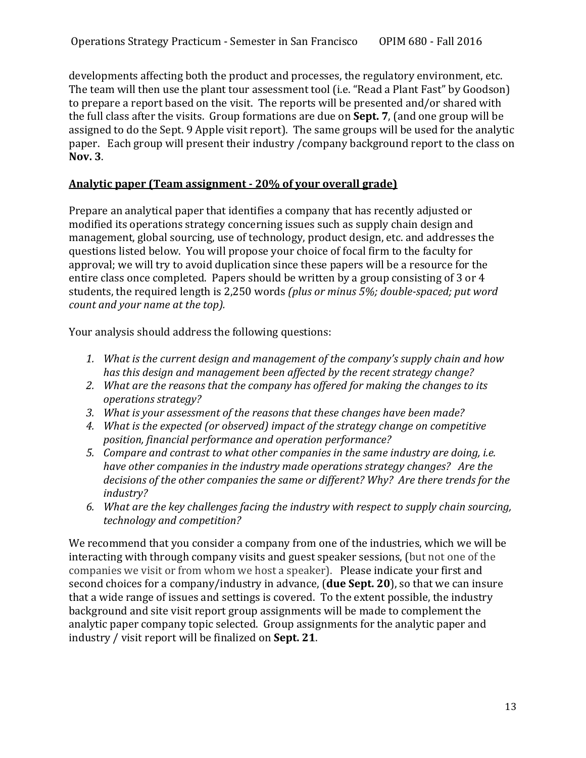developments affecting both the product and processes, the regulatory environment, etc. The team will then use the plant tour assessment tool (i.e. "Read a Plant Fast" by Goodson) to prepare a report based on the visit. The reports will be presented and/or shared with the full class after the visits. Group formations are due on **Sept.** 7, (and one group will be assigned to do the Sept. 9 Apple visit report). The same groups will be used for the analytic paper. Each group will present their industry / company background report to the class on **Nov. 3**. 

### **Analytic paper (Team assignment ‐ 20% of your overall grade)**

Prepare an analytical paper that identifies a company that has recently adjusted or modified its operations strategy concerning issues such as supply chain design and management, global sourcing, use of technology, product design, etc. and addresses the questions listed below. You will propose your choice of focal firm to the faculty for approval; we will try to avoid duplication since these papers will be a resource for the entire class once completed. Papers should be written by a group consisting of 3 or 4 students, the required length is 2,250 words *(plus or minus 5%; double‐spaced; put word count and your name at the top).*  

Your analysis should address the following questions:

- *1. What is the current design and management of the company's supply chain and how has this design and management been affected by the recent strategy change?*
- *2. What are the reasons that the company has offered for making the changes to its operations strategy?*
- *3. What is your assessment of the reasons that these changes have been made?*
- *4. What is the expected (or observed) impact of the strategy change on competitive position, financial performance and operation performance?*
- *5. Compare and contrast to what other companies in the same industry are doing, i.e. have other companies in the industry made operations strategy changes? Are the decisions of the other companies the same or different? Why? Are there trends for the industry?*
- *6. What are the key challenges facing the industry with respect to supply chain sourcing, technology and competition?*

We recommend that you consider a company from one of the industries, which we will be interacting with through company visits and guest speaker sessions, (but not one of the companies we visit or from whom we host a speaker). Please indicate your first and second choices for a company/industry in advance, (**due Sept. 20**), so that we can insure that a wide range of issues and settings is covered. To the extent possible, the industry background and site visit report group assignments will be made to complement the analytic paper company topic selected. Group assignments for the analytic paper and industry / visit report will be finalized on **Sept. 21**.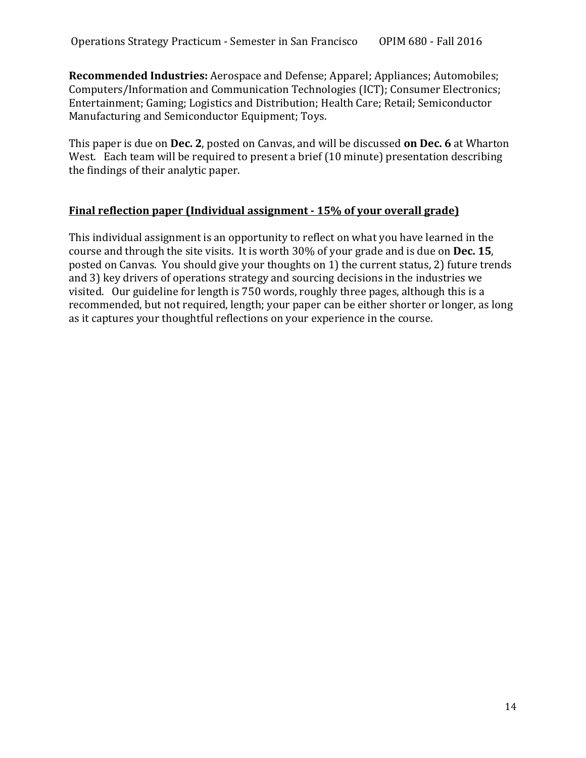**Recommended Industries:** Aerospace and Defense; Apparel; Appliances; Automobiles; Computers/Information and Communication Technologies (ICT); Consumer Electronics; Entertainment; Gaming; Logistics and Distribution; Health Care; Retail; Semiconductor Manufacturing and Semiconductor Equipment; Toys.

This paper is due on **Dec.** 2, posted on Canvas, and will be discussed **on Dec.** 6 at Wharton West. Each team will be required to present a brief (10 minute) presentation describing the findings of their analytic paper.

### **Final reflection paper (Individual assignment ‐ 15% of your overall grade)**

This individual assignment is an opportunity to reflect on what you have learned in the course and through the site visits. It is worth 30% of your grade and is due on Dec. 15, posted on Canvas. You should give your thoughts on 1) the current status, 2) future trends and 3) key drivers of operations strategy and sourcing decisions in the industries we visited. Our guideline for length is 750 words, roughly three pages, although this is a recommended, but not required, length; your paper can be either shorter or longer, as long as it captures your thoughtful reflections on your experience in the course.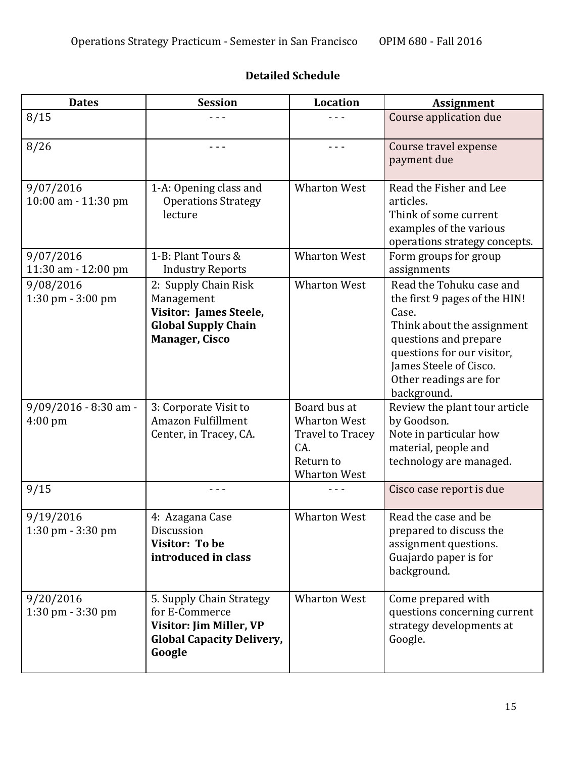# **Detailed Schedule**

| <b>Dates</b>                                 | <b>Session</b>                                                                                                             | <b>Location</b>                                                                                           | <b>Assignment</b>                                                                                                                                                                                                          |
|----------------------------------------------|----------------------------------------------------------------------------------------------------------------------------|-----------------------------------------------------------------------------------------------------------|----------------------------------------------------------------------------------------------------------------------------------------------------------------------------------------------------------------------------|
| 8/15                                         | - - -                                                                                                                      | - - -                                                                                                     | Course application due                                                                                                                                                                                                     |
| 8/26                                         |                                                                                                                            | - - -                                                                                                     | Course travel expense<br>payment due                                                                                                                                                                                       |
| 9/07/2016<br>10:00 am - 11:30 pm             | 1-A: Opening class and<br><b>Operations Strategy</b><br>lecture                                                            | <b>Wharton West</b>                                                                                       | Read the Fisher and Lee<br>articles.<br>Think of some current<br>examples of the various<br>operations strategy concepts.                                                                                                  |
| 9/07/2016<br>11:30 am - 12:00 pm             | 1-B: Plant Tours &<br><b>Industry Reports</b>                                                                              | <b>Wharton West</b>                                                                                       | Form groups for group<br>assignments                                                                                                                                                                                       |
| 9/08/2016<br>1:30 pm - 3:00 pm               | 2: Supply Chain Risk<br>Management<br><b>Visitor: James Steele,</b><br><b>Global Supply Chain</b><br><b>Manager, Cisco</b> | <b>Wharton West</b>                                                                                       | Read the Tohuku case and<br>the first 9 pages of the HIN!<br>Case.<br>Think about the assignment<br>questions and prepare<br>questions for our visitor,<br>James Steele of Cisco.<br>Other readings are for<br>background. |
| $9/09/2016 - 8:30$ am -<br>$4:00 \text{ pm}$ | 3: Corporate Visit to<br>Amazon Fulfillment<br>Center, in Tracey, CA.                                                      | Board bus at<br><b>Wharton West</b><br><b>Travel to Tracey</b><br>CA.<br>Return to<br><b>Wharton West</b> | Review the plant tour article<br>by Goodson.<br>Note in particular how<br>material, people and<br>technology are managed.                                                                                                  |
| 9/15                                         |                                                                                                                            |                                                                                                           | Cisco case report is due                                                                                                                                                                                                   |
| 9/19/2016<br>1:30 pm - 3:30 pm               | 4: Azagana Case<br>Discussion<br><b>Visitor: To be</b><br>introduced in class                                              | <b>Wharton West</b>                                                                                       | Read the case and be<br>prepared to discuss the<br>assignment questions.<br>Guajardo paper is for<br>background.                                                                                                           |
| 9/20/2016<br>1:30 pm - 3:30 pm               | 5. Supply Chain Strategy<br>for E-Commerce<br>Visitor: Jim Miller, VP<br><b>Global Capacity Delivery,</b><br>Google        | <b>Wharton West</b>                                                                                       | Come prepared with<br>questions concerning current<br>strategy developments at<br>Google.                                                                                                                                  |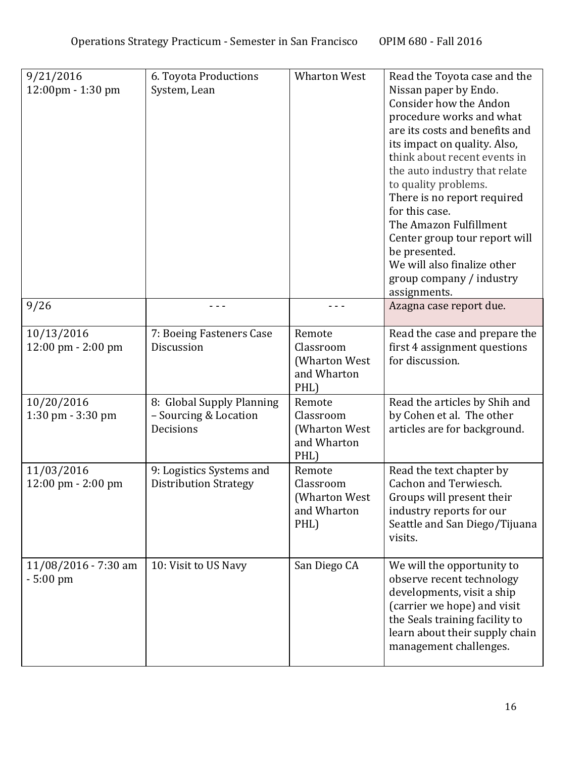| 9/21/2016<br>12:00pm - 1:30 pm                     | 6. Toyota Productions<br>System, Lean                           | <b>Wharton West</b>                                         | Read the Toyota case and the<br>Nissan paper by Endo.<br>Consider how the Andon<br>procedure works and what<br>are its costs and benefits and<br>its impact on quality. Also,<br>think about recent events in<br>the auto industry that relate<br>to quality problems.<br>There is no report required<br>for this case.<br>The Amazon Fulfillment<br>Center group tour report will<br>be presented.<br>We will also finalize other<br>group company / industry<br>assignments. |
|----------------------------------------------------|-----------------------------------------------------------------|-------------------------------------------------------------|--------------------------------------------------------------------------------------------------------------------------------------------------------------------------------------------------------------------------------------------------------------------------------------------------------------------------------------------------------------------------------------------------------------------------------------------------------------------------------|
| 9/26                                               |                                                                 |                                                             | Azagna case report due.                                                                                                                                                                                                                                                                                                                                                                                                                                                        |
| 10/13/2016<br>12:00 pm - 2:00 pm                   | 7: Boeing Fasteners Case<br>Discussion                          | Remote<br>Classroom<br>(Wharton West<br>and Wharton<br>PHL) | Read the case and prepare the<br>first 4 assignment questions<br>for discussion.                                                                                                                                                                                                                                                                                                                                                                                               |
| 10/20/2016<br>1:30 pm - 3:30 pm                    | 8: Global Supply Planning<br>- Sourcing & Location<br>Decisions | Remote<br>Classroom<br>(Wharton West<br>and Wharton<br>PHL) | Read the articles by Shih and<br>by Cohen et al. The other<br>articles are for background.                                                                                                                                                                                                                                                                                                                                                                                     |
| 11/03/2016<br>$12:00 \text{ pm} - 2:00 \text{ pm}$ | 9: Logistics Systems and<br><b>Distribution Strategy</b>        | Remote<br>Classroom<br>(Wharton West<br>and Wharton<br>PHL) | Read the text chapter by<br>Cachon and Terwiesch.<br>Groups will present their<br>industry reports for our<br>Seattle and San Diego/Tijuana<br>visits.                                                                                                                                                                                                                                                                                                                         |
| 11/08/2016 - 7:30 am<br>$-5:00 \text{ pm}$         | 10: Visit to US Navy                                            | San Diego CA                                                | We will the opportunity to<br>observe recent technology<br>developments, visit a ship<br>(carrier we hope) and visit<br>the Seals training facility to<br>learn about their supply chain<br>management challenges.                                                                                                                                                                                                                                                             |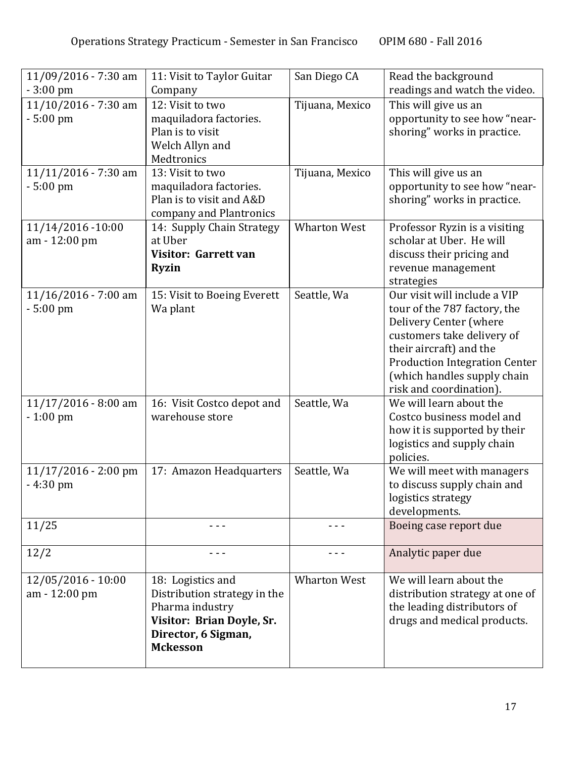| 11/09/2016 - 7:30 am<br>$-3:00 \text{ pm}$   | 11: Visit to Taylor Guitar<br>Company                                                                                                       | San Diego CA        | Read the background<br>readings and watch the video.                                                                                                                                                                                              |
|----------------------------------------------|---------------------------------------------------------------------------------------------------------------------------------------------|---------------------|---------------------------------------------------------------------------------------------------------------------------------------------------------------------------------------------------------------------------------------------------|
| $11/10/2016 - 7:30$ am<br>$-5:00 \text{ pm}$ | 12: Visit to two<br>maquiladora factories.<br>Plan is to visit<br>Welch Allyn and<br>Medtronics                                             | Tijuana, Mexico     | This will give us an<br>opportunity to see how "near-<br>shoring" works in practice.                                                                                                                                                              |
| 11/11/2016 - 7:30 am<br>$-5:00 \text{ pm}$   | 13: Visit to two<br>maquiladora factories.<br>Plan is to visit and A&D<br>company and Plantronics                                           | Tijuana, Mexico     | This will give us an<br>opportunity to see how "near-<br>shoring" works in practice.                                                                                                                                                              |
| 11/14/2016 -10:00<br>am - 12:00 pm           | 14: Supply Chain Strategy<br>at Uber<br><b>Visitor: Garrett van</b><br><b>Ryzin</b>                                                         | <b>Wharton West</b> | Professor Ryzin is a visiting<br>scholar at Uber. He will<br>discuss their pricing and<br>revenue management<br>strategies                                                                                                                        |
| 11/16/2016 - 7:00 am<br>$-5:00$ pm           | 15: Visit to Boeing Everett<br>Wa plant                                                                                                     | Seattle, Wa         | Our visit will include a VIP<br>tour of the 787 factory, the<br>Delivery Center (where<br>customers take delivery of<br>their aircraft) and the<br><b>Production Integration Center</b><br>(which handles supply chain<br>risk and coordination). |
| $11/17/2016 - 8:00$ am<br>$-1:00$ pm         | 16: Visit Costco depot and<br>warehouse store                                                                                               | Seattle, Wa         | We will learn about the<br>Costco business model and<br>how it is supported by their<br>logistics and supply chain<br>policies.                                                                                                                   |
| $11/17/2016 - 2:00$ pm<br>$-4:30$ pm         | 17: Amazon Headquarters                                                                                                                     | Seattle, Wa         | We will meet with managers<br>to discuss supply chain and<br>logistics strategy<br>developments.                                                                                                                                                  |
| 11/25                                        |                                                                                                                                             | - - -               | Boeing case report due                                                                                                                                                                                                                            |
| 12/2                                         | - - -                                                                                                                                       |                     | Analytic paper due                                                                                                                                                                                                                                |
| 12/05/2016 - 10:00<br>am - 12:00 pm          | 18: Logistics and<br>Distribution strategy in the<br>Pharma industry<br>Visitor: Brian Doyle, Sr.<br>Director, 6 Sigman,<br><b>Mckesson</b> | <b>Wharton West</b> | We will learn about the<br>distribution strategy at one of<br>the leading distributors of<br>drugs and medical products.                                                                                                                          |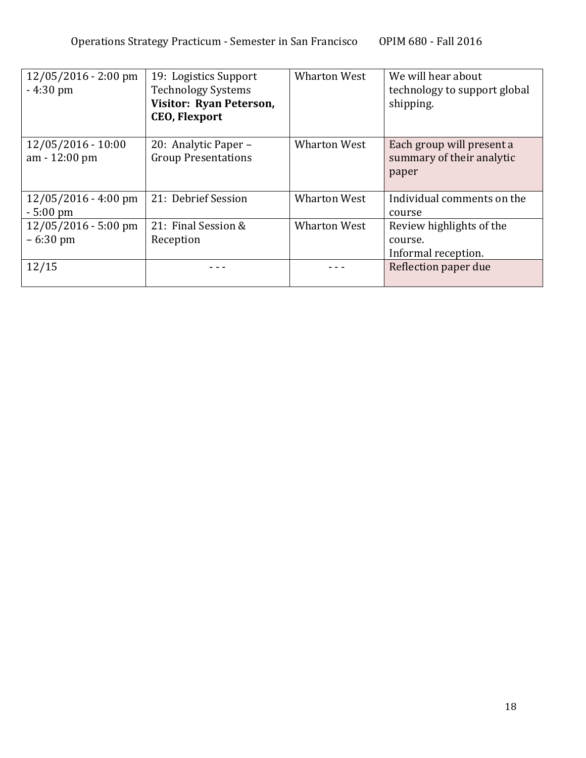| $12/05/2016 - 2:00$ pm<br>$-4:30 \text{ pm}$         | 19: Logistics Support<br><b>Technology Systems</b><br>Visitor: Ryan Peterson,<br><b>CEO, Flexport</b> | <b>Wharton West</b> | We will hear about<br>technology to support global<br>shipping. |
|------------------------------------------------------|-------------------------------------------------------------------------------------------------------|---------------------|-----------------------------------------------------------------|
| $12/05/2016 - 10:00$<br>am - 12:00 pm                | 20: Analytic Paper –<br><b>Group Presentations</b>                                                    | <b>Wharton West</b> | Each group will present a<br>summary of their analytic<br>paper |
| $12/05/2016 - 4:00 \text{ pm}$<br>$-5:00 \text{ pm}$ | 21: Debrief Session                                                                                   | <b>Wharton West</b> | Individual comments on the<br>course                            |
| $12/05/2016 - 5:00$ pm<br>$-6:30 \text{ pm}$         | 21: Final Session &<br>Reception                                                                      | <b>Wharton West</b> | Review highlights of the<br>course.<br>Informal reception.      |
| 12/15                                                |                                                                                                       |                     | Reflection paper due                                            |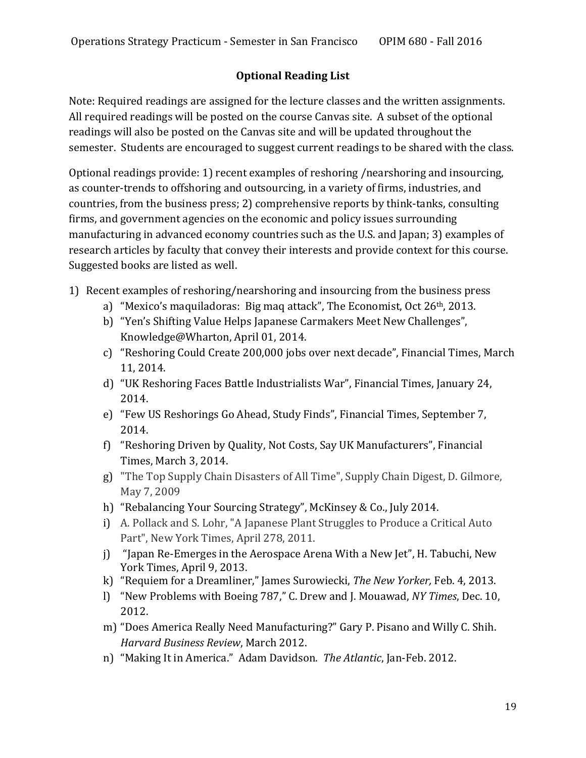## **Optional Reading List**

Note: Required readings are assigned for the lecture classes and the written assignments. All required readings will be posted on the course Canvas site. A subset of the optional readings will also be posted on the Canvas site and will be updated throughout the semester. Students are encouraged to suggest current readings to be shared with the class.

Optional readings provide: 1) recent examples of reshoring /nearshoring and insourcing, as counter-trends to offshoring and outsourcing, in a variety of firms, industries, and countries, from the business press; 2) comprehensive reports by think-tanks, consulting firms, and government agencies on the economic and policy issues surrounding manufacturing in advanced economy countries such as the U.S. and Japan; 3) examples of research articles by faculty that convey their interests and provide context for this course. Suggested books are listed as well.

- 1) Recent examples of reshoring/nearshoring and insourcing from the business press
	- a) "Mexico's maquiladoras: Big maq attack", The Economist, Oct  $26<sup>th</sup>$ , 2013.
	- b) "Yen's Shifting Value Helps Japanese Carmakers Meet New Challenges", Knowledge@Wharton, April 01, 2014.
	- c) "Reshoring Could Create 200,000 jobs over next decade", Financial Times, March 11, 2014.
	- d) "UK Reshoring Faces Battle Industrialists War", Financial Times, January 24, 2014.
	- e) "Few US Reshorings Go Ahead, Study Finds", Financial Times, September 7, 2014.
	- f) "Reshoring Driven by Quality, Not Costs, Say UK Manufacturers", Financial Times, March 3, 2014.
	- g) "The Top Supply Chain Disasters of All Time", Supply Chain Digest, D. Gilmore, May 7, 2009
	- h) "Rebalancing Your Sourcing Strategy", McKinsey & Co., July 2014.
	- i) A. Pollack and S. Lohr, "A Japanese Plant Struggles to Produce a Critical Auto Part", New York Times, April 278, 2011.
	- j) "Japan Re-Emerges in the Aerospace Arena With a New Jet", H. Tabuchi, New York Times, April 9, 2013.
	- k) "Requiem for a Dreamliner," James Surowiecki, *The New Yorker*, Feb. 4, 2013.
	- l) "New Problems with Boeing 787," C. Drew and J. Mouawad, *NY Times*, Dec. 10, 2012.
	- m) "Does America Really Need Manufacturing?" Gary P. Pisano and Willy C. Shih. **Harvard Business Review, March 2012.**
	- n) "Making It in America." Adam Davidson. The Atlantic, Jan-Feb. 2012.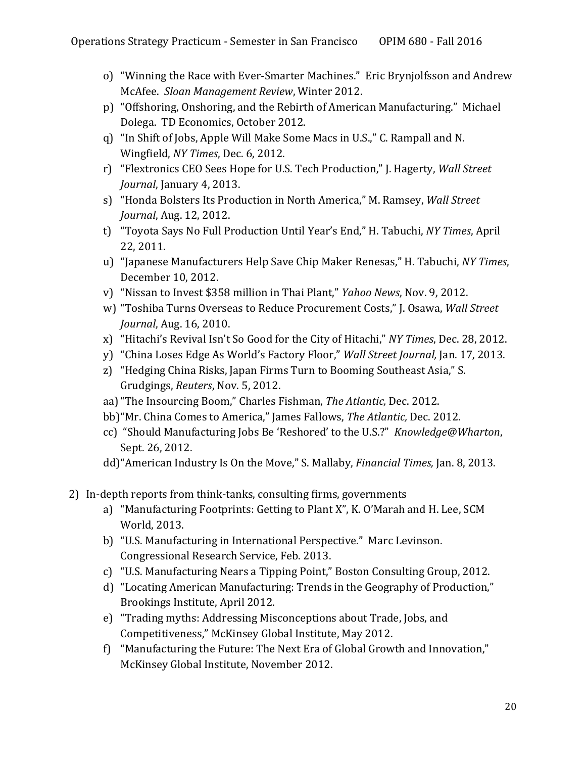- o) "Winning the Race with Ever-Smarter Machines." Eric Brynjolfsson and Andrew McAfee. *Sloan Management Review*, Winter 2012.
- p) "Offshoring, Onshoring, and the Rebirth of American Manufacturing." Michael Dolega. TD Economics, October 2012.
- q) "In Shift of Jobs, Apple Will Make Some Macs in U.S.," C. Rampall and N. Wingfield, NY Times, Dec. 6, 2012.
- r) "Flextronics CEO Sees Hope for U.S. Tech Production," J. Hagerty, *Wall Street Journal*, January 4, 2013.
- s) "Honda Bolsters Its Production in North America," M. Ramsey, *Wall Street Journal*, Aug. 12, 2012.
- t) "Toyota Says No Full Production Until Year's End," H. Tabuchi, *NY Times*, April 22, 2011.
- u) "Japanese Manufacturers Help Save Chip Maker Renesas," H. Tabuchi, *NY Times*, December 10, 2012.
- v) "Nissan to Invest \$358 million in Thai Plant," *Yahoo News*, Nov. 9, 2012.
- w) "Toshiba Turns Overseas to Reduce Procurement Costs," J. Osawa, *Wall Street Journal*, Aug. 16, 2010.
- x) "Hitachi's Revival Isn't So Good for the City of Hitachi," *NY Times*, Dec. 28, 2012.
- y) "China Loses Edge As World's Factory Floor," Wall Street *Journal*, Jan. 17, 2013.
- z) "Hedging China Risks, Japan Firms Turn to Booming Southeast Asia," S. Grudgings, *Reuters*, Nov. 5, 2012.
- aa) "The Insourcing Boom," Charles Fishman, The Atlantic, Dec. 2012.
- bb) "Mr. China Comes to America," James Fallows, The Atlantic, Dec. 2012.
- cc) "Should Manufacturing Jobs Be 'Reshored' to the U.S.?" *Knowledge@Wharton*, Sept. 26, 2012.
- dd) "American Industry Is On the Move," S. Mallaby, *Financial Times*, Jan. 8, 2013.
- 2) In-depth reports from think-tanks, consulting firms, governments
	- a) "Manufacturing Footprints: Getting to Plant X", K. O'Marah and H. Lee, SCM World, 2013.
	- b) "U.S. Manufacturing in International Perspective." Marc Levinson. Congressional Research Service, Feb. 2013.
	- c) "U.S. Manufacturing Nears a Tipping Point," Boston Consulting Group, 2012.
	- d) "Locating American Manufacturing: Trends in the Geography of Production," Brookings Institute, April 2012.
	- e) "Trading myths: Addressing Misconceptions about Trade, Jobs, and Competitiveness," McKinsey Global Institute, May 2012.
	- f) "Manufacturing the Future: The Next Era of Global Growth and Innovation," McKinsey Global Institute, November 2012.